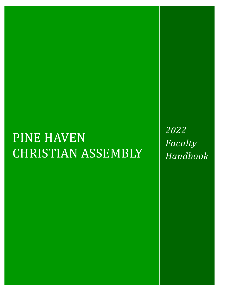# PINE HAVEN CHRISTIAN ASSEMBLY

*2022 Faculty Handbook*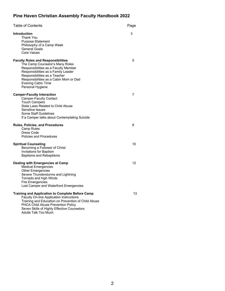# **Pine Haven Christian Assembly Faculty Handbook 2022**

| Table of Contents                                                                                                                                                                                                                                                                       |    |
|-----------------------------------------------------------------------------------------------------------------------------------------------------------------------------------------------------------------------------------------------------------------------------------------|----|
| <b>Introduction</b><br>Thank You<br><b>Purpose Statement</b><br>Philosophy of a Camp Week<br><b>General Goals</b><br>Core Values                                                                                                                                                        | 3  |
| <b>Faculty Roles and Responsibilities</b><br>The Camp Counselor's Many Roles<br>Responsibilities as a Faculty Member<br>Responsibilities as a Family Leader<br>Responsibilities as a Teacher<br>Responsibilities as a Cabin Mom or Dad<br><b>Evening Cabin Time</b><br>Personal Hygiene | 5  |
| <b>Camper-Faculty Interaction</b><br><b>Camper-Faculty Contact</b><br><b>Touch Campers</b><br><b>State Laws Related to Child Abuse</b><br>Sensitive Issues<br>Some Staff Guidelines<br>If a Camper talks about Contemplating Suicide                                                    | 7  |
| Rules, Policies, and Procedures<br>Camp Rules<br>Dress Code<br>Policies and Procedures                                                                                                                                                                                                  | 8  |
| <b>Spiritual Counseling</b><br>Becoming a Follower of Christ<br>Invitations for Baptism<br><b>Baptisms and Rebaptisms</b>                                                                                                                                                               | 10 |
| Dealing with Emergencies at Camp<br><b>Medical Emergencies</b><br><b>Other Emergencies</b><br>Severe Thunderstorms and Lightning<br>Tornado and high Winds<br><b>Fire Emergencies</b><br>Lost Camper and Waterfront Emergencies                                                         | 12 |
| <b>Training and Application to Complete Before Camp</b><br><b>Faculty On-line Application Instructions</b><br>Training and Education on Prevention of Child Abuse<br>PHCA Child Abuse Prevention Policy<br>Seven Skills of Highly Effective Counselors<br>Adults Talk Too Much          | 13 |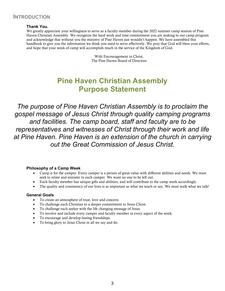# **INTRODUCTION**

#### **Thank You.**

We greatly appreciate your willingness to serve as a faculty member during the 2022 summer camp session of Pine Haven Christian Assembly. We recognize the hard work and time commitment you are making to our camp program and acknowledge that without you the ministry of Pine Haven just wouldn't happen. We have assembled this handbook to give you the information we think you need to serve effectively. We pray that God will bless your efforts, and hope that your week of camp will accomplish much in the service of the Kingdom of God.

> With Encouragement in Christ, The Pine Haven Board of Directors

# **Pine Haven Christian Assembly Purpose Statement**

*The purpose of Pine Haven Christian Assembly is to proclaim the gospel message of Jesus Christ through quality camping programs and facilities. The camp board, staff and faculty are to be representatives and witnesses of Christ through their work and life at Pine Haven. Pine Haven is an extension of the church in carrying out the Great Commission of Jesus Christ.*

#### **Philosophy of a Camp Week**

- Camp is for the camper. Every camper is a person of great value with different abilities and needs. We must seek to relate and minister to each camper. We want no one to be left out.
- Each faculty member has unique gifts and abilities, and will contribute to the camp week accordingly.
- The quality and consistency of our lives is as important as what we teach or say. We must walk what we talk!

#### **General Goals**

- To create an atmosphere of trust, love and concern.
- To challenge each Christian to a deeper commitment to Jesus Christ.
- To challenge each seeker with the life changing message of Jesus.
- To involve and include every camper and faculty member in every aspect of the week.
- To encourage and develop lasting friendships.
- To bring glory to Jesus Christ in all we say and do.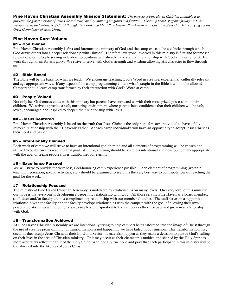Pine Haven Christian Assembly Mission Statement: *The purpose of Pine Haven Christian Assembly is to proclaim the gospel message of Jesus Christ through quality camping programs and facilities. The camp board, staff and faculty are to be representatives and witnesses of Christ through their work and life at Pine Haven. Pine Haven is an extension of the church in carrying out the Great Commission of Jesus Christ.*

#### Pine Haven Core Values:

#### #1 – God Owned

Pine Haven Christian Assembly is first and foremost the ministry of God and the camp exists to be a vehicle through which God draws others into a deeper relationship with Himself. Therefore, everyone involved in this ministry is first and foremost a servant of God. People serving in leadership positions will already have a vibrant relationship with God and desire to let Him work through them for His glory. We strive to serve with God's strength and wisdom allowing His character to flow through us.

#### #2 – Bible Based

The Bible will be the basis for what we teach. We encourage teaching God's Word in creative, experiential, culturally relevant and age appropriate ways. If any aspect of the camp programming violate what's taught in the Bible it will not be allowed. Campers should leave camp transformed by their interaction with God's Word at camp.

#### #3 – People Valued

Not only has God entrusted us with this ministry but parents have entrusted us with their most prized possession – their children. We strive to provide a safe, nurturing environment where parents have confidence that their children will be safe, loved, encouraged and inspired to deepen their relationship with Jesus.

#### #4 – Jesus Centered

Pine Haven Christian Assembly is based on the truth that Jesus Christ is the only hope for each individual to have a fully restored relationship with their Heavenly Father. At each camp individual's will have an opportunity to accept Jesus Christ as their Lord and Savior.

#### #5 – Intentionally Planned

Each week of camp we will strive to have an intentional goal in mind and all elements of programming will be chosen and utilized to build towards reaching that goal. All programming should be seamless intentional and developmentally appropriate with the goal of seeing people's lives transformed for eternity.

#### #6 – Excellence Pursued

We will strive to provide the very best, God-honoring camp experience possible. Each element of programming (worship, teaching, recreation, special activities, etc.) should be examined to see if it's the very best way to contribute toward reaching the goal for the week.

#### #7 – Relationship Focused

The ministry at Pine Haven Christian Assembly is motivated by relationships on many levels. On every level of this ministry our hope is that everyone is developing a deepening relationship with God. All those serving Pine Haven as a board member, staff, dean and/or faculty are in a complimentary relationship with our member churches. The staff serves in a supportive relationship with the faculty and the faculty develops relationships with the campers with the goal of allowing their own personal relationship with God to be an example and inspiration to the campers as they discover and grow in a relationship with God.

#### #8 – Transformation Achieved

At Pine Haven Christian Assembly we are intentionally trying to help campers be transformed into the image of Christ through the use of creative programming. If transformation is not happening we have failed in our mission. This transformation may occur as they accept Jesus Christ as their Lord and Savior. It may also happen as they make a decision to pursue God's calling on their lives in the area of Christian ministry. Or it may occur as their character is molded and shaped by the Holy Spirit to more accurately reflect the fruit of the Holy Spirit. Additionally, we hope and pray that each participant in this ministry will be transformed into the likeness of Jesus Christ.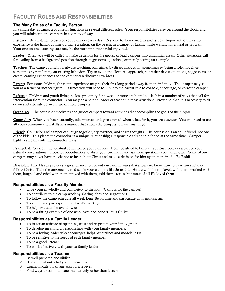# **FACULTY ROLES AND RESPONSIBILITIES**

#### **The Many Roles of a Faculty Person**

In a single day at camp, a counselor functions in several different roles. Your responsibilities carry on around the clock, and you will minister to the campers in a variety of ways.

Listener: Be a listener to each of your campers every day. Respond to their concerns and issues. Important to the camp experience is the hang out time during recreation, on the beach, in a canoe, or talking while waiting for a meal or program. Your one on one listening care may be the most important ministry you do.

Leader: Often you will be called to make decisions for the group, or lead campers into unfamiliar areas. Other situations call for leading from a background position through suggestions, questions, or merely setting an example.

Teacher: The camp counselor is always teaching, sometimes by direct instruction, sometimes by being a role model, or sometimes by reinforcing an existing behavior. Try to avoid the "lecture" approach, but rather devise questions, suggestions, or create learning experiences so the camper can discover new ideas.

**Parent:** For some children, the camp experience may be their first long period away from their family. The camper may see you as a father or mother figure. At times you will need to slip into the parent role to console, encourage, or correct a camper.

Referee: Children and youth living in close proximity for a week or more are bound to clash in a number of ways that call for intervention from the counselor. You may be a parent, leader or teacher in these situations. Now and then it is necessary to sit down and arbitrate between two or more campers.

Organizer: The counselor motivates and guides campers toward activities that accomplish the goals of the *program*.

Counselor: When you listen carefully, take interest, and give counsel when asked for it, you are a *mentor*. You will need to use all your communication skills in a manner that allows the campers to have trust in you.

Friend: Counselor and camper can laugh together, cry together, and share thoughts. The counselor is an adult friend, not one of the kids. This places the counselor in a unique relationship; a responsible adult and a friend at the same time. Campers highly value this role the counselor plays.

Evangelist: Seek out the spiritual condition of your campers. Don't be afraid to bring up spiritual topics as a part of your natural conversations. Look for opportunities to share your own faith and ask them questions about their own. Some of our campers may never have the chance to hear about Christ and make a decision for him again in their life. Be Bold!

**Discipler:** Pine Haven provides a great chance to live out our faith in ways that shows we know how to have fun and also follow Christ. Take the opportunity to disciple your campers like Jesus did. He ate with them, played with them, worked with them, laughed and cried with them, prayed with them, told them stories, but most of all He loved them.

#### **Responsibilities as a Faculty Member**

- Give yourself wholly and completely to the kids. (Camp is for the camper!)
- To contribute to the camp week by sharing ideas and suggestions.
- To follow the camp schedule all week long. Be on time and participate with enthusiasm.
- To attend and participate in all faculty meetings.
- To help evaluate the overall week.
- To be a fitting example of one who loves and honors Jesus Christ.

#### **Responsibilities as a Family Leader**

- To foster an attitude of openness, trust and respect in your family group.
- To develop meaningful relationships with your family members.
- To be a loving leader who encourages, helps, disciplines and models Jesus.
- To be sensitive to the needs of each family member.
- To be a good listener.
- To work effectively with your co-family leader.

#### **Responsibilities as a Teacher**

- 1. Be well prepared and biblical.
- 2. Be excited about what you are teaching.
- 3. Communicate on an age appropriate level.
- 4. Find ways to communicate interactively rather than lecture.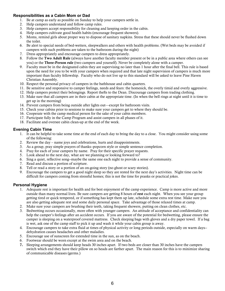#### **Responsibilities as a Cabin Mom or Dad**

- 1. Be at camp as early as possible on Sunday to help your campers settle in.
- 2. Help campers understand and follow camp rules.
- 3. Help campers accept responsibility for cleaning and keeping order in the cabin.
- 4. Help campers cultivate good health habits (encourage frequent showers).
- 5. Moms, remind girls about proper way to dispose of sanitary napkins. Stress that these should never be flushed down the toilet.
- 6. Be alert to special needs of bed-wetters, sleepwalkers and others with health problems. (Wet beds may be avoided if campers with such problems are taken to the bathroom during the night)
- 7. Dress appropriately and encourage campers to dress appropriately.
- 8. Follow the Two Adult Rule (always have another faculty member present or be in a public area where others can see you) or the Three-Person rule (two campers and yourself). Never be completely alone with a camper.
- 9. Faculty must be in the designated cabin they are supervising no later than 1 hour after the final bell. This rule is based upon the need for you to be with your campers when required and that late night supervision of campers is much more important than faculty fellowship. Faculty who do not live up to this standard will be asked to leave Pine Haven Christian Assembly.
- 10. Respect the personal privacy of campers in the bathhouse and cabin quarters.
- 11. Be sensitive and responsive to camper feelings, needs and fears: the homesick, the overly timid and overly aggressive.
- 12. Help campers protect their belongings. Report thefts to the Dean. Discourage campers from trading clothing.
- 13. Make sure that all campers are in their cabin at the appropriate time. (In when the bell rings at night until it is time to get up in the morning)
- 14. Prevent campers from being outside after lights out—except for bathroom visits.
- 15. Check your cabins prior to sessions to make sure your campers get to where they should be.
- 16. Cooperate with the camp medical person for the sake of your cabin members.
- 17. Participate fully in the Camp Program and assist campers in all phases of it.
- 18. Facilitate and oversee cabin clean-up at the end of the week.

#### **Evening Cabin Time**

- 1. It can be helpful to take some time at the end of each day to bring the day to a close. You might consider using some of the following:
- 2. Review the day name joys and celebrations, hurts and disappointments.
- 3. As a group, pray simple prayers of thanks--popcorn style or simple sentence completion.
- 4. Pray for each of your campers by name. Pray for their specific prayer requests.
- 5. Look ahead to the next day, what are we planning or looking forward to?
- 6. Sing a quiet, reflective song--maybe the same one each night to provide a sense of community.
- 7. Read and discuss a portion of scripture.
- 8. Tell or read a story or a portion of an on-going story (no ghost or scary stories).
- 9. Encourage the campers to get a good night sleep so they are rested for the next day's activities. Night time can be difficult for campers coming from stressful homes; this is not the time for pranks or practical jokes.

#### **Personal Hygiene**

- 1. Adequate rest is important for health and for best enjoyment of the camp experience. Camp is more active and more outside than many normal lives. Be sure campers are getting 8 hours of rest each night. When you see your group getting tired or quick tempered, or if something has kept them up late, schedule some extra rest time. Make sure you are also getting adequate rest and some daily personal space. Take advantage of those relaxed times at camp.
- 2. Make sure your campers are brushing their teeth, taking frequent showers, putting on clean clothes, etc.
- 3. Bedwetting occurs occasionally, more often with younger campers. An attitude of acceptance and confidentiality can help the camper's feelings after an accident occurs. If you are aware of the potential for bedwetting, please ensure the camper is sleeping on a waterproof covered mattress. Check sleeping bags with gloves and a dry paper towel. If a bag is wet, ask one of the camp staff to pick it up and wash it while your cabin group is away.
- 4. Encourage campers to take extra fluid at times of physical activity or long periods outside, especially on warm days- dehydration causes headaches and other maladies.
- 5. Encourage use of sunscreen for extended time in the sun, as on the beach.
- 6. Footwear should be worn except at the swim area and on the beach.
- 7. Sleeping arrangements should keep heads 30 inches apart. If two beds are closer than 30 inches have the campers switch which end they have their pillow on so heads are farther apart. The main reason for this is to minimize sharing of communicable diseases (germs.)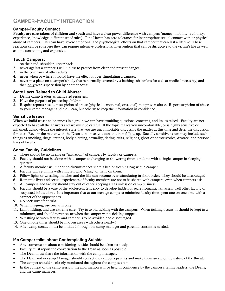# **CAMPER-FACULTY INTERACTION**

#### **Camper-Faculty Contact**

Faculty are care-takers of children and youth and have a clear power difference with campers (money, mobility, authority, experience, knowledge, different set of rules). Pine Haven has zero tolerance for inappropriate sexual contact with or physical abuse of campers. This can have severe emotional and psychological effects on that camper that can last a lifetime. These reactions can be so severe they can require intensive professional intervention that can be disruptive to the victim's life as well as time consuming and expensive.

#### **Touch Campers:**

- 1. on the hand, shoulder, upper back.
- 2. never against a camper's will, unless to protect from clear and present danger.
- 3. in the company of other adults.
- 4. never when or where it would have the effect of over-stimulating a camper.
- 5. never in a place on a camper's body that is normally covered by a bathing suit, unless for a clear medical necessity, and then only with supervision by another adult.

#### **State Laws Related to Child Abuse:**

- 1. Define camp leaders as mandated reporters.
- 2. Have the purpose of protecting children.
- 3. Require reports based on suspicion of abuse (physical, emotional, or sexual), not proven abuse. Report suspicion of abuse to your camp manager and the Dean, but otherwise keep the information in confidence.

#### **Sensitive Issues**

When we build trust and openness in a group we can have troubling questions, concerns, and issues raised. Faculty are not expected to have all the answers and we must be careful. If the topic makes you uncomfortable, or is highly sensitive or inflamed, acknowledge the interest, state that you are uncomfortable discussing the matter at this time and defer the discussion for later. Review the matter with the Dean as soon as you can and then <u>follow up</u>. Socially sensitive issues may include such things as smoking, drugs, tattoos, body piercing, sexuality, dating, cults, religions, ghost or horror stories, divorce, and personal lives of faculty.

#### **Some Faculty Guidelines**

- 1. There should be no hazing or "initiation" of campers by faculty or campers.
- 2. Faculty should not be alone with a camper at changing or showering times, or alone with a single camper in sleeping quarters.
- 3. A faculty member will under no circumstances share a bed or sleeping bag with a camper.
- 4. Faculty will set limits with children who "cling" or hang on them.
- 5. Pillow fights or wrestling matches and the like can become over-stimulating in short order. They should be discouraged.
- 6. Romantic lives and sexual experiences of faculty members are not to be shared with campers, even when campers ask.
- 7. All campers and faculty should stay out of other sleeping areas unless on camp business.
- 8. Faculty should be aware of the adolescent tendency to develop hidden or secret romantic fantasies. Tell other faculty of suspected infatuations. It is important that at our teenage camps to minimize faculty time spent one-on-one time with a camper of the opposite sex.
- 9. No back rubs/foot rubs.
- 10. When hugging, use one arm only.
- 11. Limit tickling, and use extreme care. Try to avoid tickling with the campers. When tickling occurs, it should be kept to a minimum, and should never occur when the camper wants tickling stopped.
- 12. Wrestling between faculty and camper is to be avoided and discouraged.
- 13. One-on-one times should be in open areas with others nearby!
- 14. After camp contact must be initiated through the camp manager and parental consent is needed.

#### **If a Camper talks about Contemplating Suicide**

- Any conversation about considering suicide should be taken seriously.
- Faculty must report the conversation to the Dean as soon as possible.
- The Dean must share the information with the camp manager.
- The Dean and or camp Manager should contact the camper's parents and make them aware of the nature of the threat.
- The camper should be closely monitored throughout the camp session.
- In the context of the camp session, the information will be held in confidence by the camper's family leaders, the Deans, and the camp manager.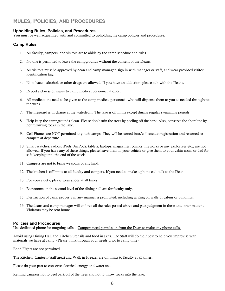# **RULES, POLICIES, AND PROCEDURES**

#### **Upholding Rules, Policies, and Procedures**

You must be well acquainted with and committed to upholding the camp policies and procedures.

#### **Camp Rules**

- 1. All faculty, campers, and visitors are to abide by the camp schedule and rules.
- 2. No one is permitted to leave the campgrounds without the consent of the Deans.
- 3. All visitors must be approved by dean and camp manager, sign in with manager or staff, and wear provided visitor identification tag.
- 4. No tobacco, alcohol, or other drugs are allowed. If you have an addiction, please talk with the Deans.
- 5. Report sickness or injury to camp medical personnel at once.
- 6. All medications need to be given to the camp medical personnel, who will dispense them to you as needed throughout the week.
- 7. The lifeguard is in charge at the waterfront. The lake is off limits except during regular swimming periods.
- 8. Help keep the campgrounds clean. Please don't ruin the trees by peeling off the bark. Also, conserve the shoreline by not throwing rocks in the lake.
- 9. Cell Phones are NOT permitted at youth camps. They will be turned into/collected at registration and returned to campers at departure.
- 10. Smart watches, radios, iPods, AirPods, tablets, laptops, magazines, comics, fireworks or any explosives etc., are not allowed. If you have any of these things, please leave them in your vehicle or give them to your cabin mom or dad for safe-keeping until the end of the week.
- 11. Campers are not to bring weapons of any kind.
- 12. The kitchen is off limits to all faculty and campers. If you need to make a phone call, talk to the Dean.
- 13. For your safety, please wear shoes at all times.
- 14. Bathrooms on the second level of the dining hall are for faculty only.
- 15. Destruction of camp property in any manner is prohibited, including writing on walls of cabins or buildings.
- 16. The deans and camp manager will enforce all the rules posted above and pass judgment in these and other matters. Violators may be sent home.

#### **Policies and Procedures**

Use dedicated phone for outgoing calls.. Campers need permission from the Dean to make any phone calls.

Avoid using Dining Hall and Kitchen utensils and food in skits. The Staff will do their best to help you improvise with materials we have at camp. (Please think through your needs prior to camp time).

Food Fights are not permitted.

The Kitchen, Canteen (staff area) and Walk in Freezer are off limits to faculty at all times.

Please do your part to conserve electrical energy and water use.

Remind campers not to peel bark off of the trees and not to throw rocks into the lake.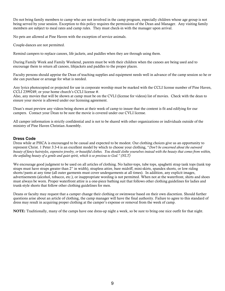Do not bring family members to camp who are not involved in the camp program, especially children whose age group is not being served by your session. Exception to this policy requires the permissions of the Dean and Manager. Any visiting family members are subject to meal rates and camp rules. They must check-in with the manager upon arrival.

No pets are allowed at Pine Haven with the exception of service animals.

Couple-dances are not permitted.

Remind campers to replace canoes, life jackets, and paddles when they are through using them.

During Family Week and Family Weekend, parents must be with their children when the canoes are being used and to encourage them to return all canoes, lifejackets and paddles to the proper places.

Faculty persons should apprise the Dean of teaching supplies and equipment needs well in advance of the camp session so he or she can purchase or arrange for what is needed.

Any lyrics photocopied or projected for use in corporate worship must be marked with the CCLI license number of Pine Haven, CCLI 2399249, or your home church's CCLI license #.

Also, any movies that will be shown at camp must be on the CVLI (license for videos) list of movies. Check with the dean to ensure your movie is allowed under our licensing agreement.

Dean's must preview any videos being shown at their week of camp to insure that the content is fit and edifying for our campers. Contact your Dean to be sure the movie is covered under our CVLI license.

All camper information is strictly confidential and is not to be shared with other organizations or individuals outside of the ministry of Pine Haven Christian Assembly.

#### **Dress Code**

Dress while at PHCA is encouraged to be casual and expected to be modest. Our clothing choices give us an opportunity to represent Christ. 1 Peter 3:3-4 is an excellent model by which to choose your clothing, "*Don't be concerned about the outward beauty of fancy hairstyles, expensive jewelry, or beautiful clothes. You should clothe yourselves instead with the beauty that comes from within, the unfading beauty of a gentle and quiet spirit, which is so precious to God." (NLT)*

We encourage good judgment to be used on all articles of clothing. No halter-tops, tube tops, spaghetti strap tank tops (tank top straps must have straps greater than 2" in width), strapless attire, bare midriff, mini-skirts, spandex shorts, or low riding shorts/pants at any time (all outer garments must cover undergarments at all times). In addition, any explicit images, advertisements (alcohol, tobacco, etc.), or inappropriate wording is not permitted. When not at the waterfront, shirts and shoes must always be worn. Proper waterfront attire is a one-piece bathing suit that follows other clothing guidelines for ladies and trunk-style shorts that follow other clothing guidelines for men.

Deans or faculty may request that a camper change their clothing or swimwear based on their own discretion. Should further questions arise about an article of clothing, the camp manager will have the final authority. Failure to agree to this standard of dress may result in acquiring proper clothing at the camper's expense or removal from the week of camp.

NOTE: Traditionally, many of the camps have one dress-up night a week, so be sure to bring one nice outfit for that night.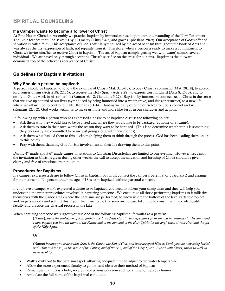# **SPIRITUAL COUNSELING**

#### **If a Camper wants to become a follower of Christ**

At Pine Haven Christian Assembly we practice baptism by immersion based upon our understanding of the New Testament. The Bible teaches that God saves us by His mercy (Titus 3:4-5) and grace (Ephesians 2:8-9). Our acceptance of God's offer of salvation is called faith. This acceptance of God's offer is symbolized by the act of baptism throughout the book of Acts and was always the first expression of faith, not separate from it. Therefore, when a person is ready to make a commitment to Christ we invite him/her to receive Christ in baptism. The act of baptism (simply getting wet with water) cannot save an individual. We are saved only through accepting Christ's sacrifice on the cross for our sins. Baptism is the outward demonstration of the believer's acceptance of Christ.

#### **Guidelines for Baptism Invitations**

#### **Why Should a person be baptized:**

A person should be baptized to follow the example of Christ (Mat. 3:13-17), to obey Christ's command (Mat. 28:18), to accept forgiveness of sins (Acts 2:38; 22:16), to receive the Holy Spirit (Acts 2:28), to express trust in Christ (Acts 8:12-13), and to testify to God's work in his or her life (Romans 6:1-8; Galatians 3:27). Baptism by immersion connects us to Christ in the sense that we give up control of our lives (symbolized by being immersed into a water grave) and rise (or resurrect) to a new life where we allow God to control our life (Romans 6:1-14). And as we daily offer up ourselves to God's control and will (Romans 12:1-2), God works within us to make us more and more like Jesus in our character and actions.

In following up with a person who has expressed a desire to be baptized discuss the following points:

- Ask them why they would like to be baptized and where they would like to be baptized (at home or at camp).
- Ask them to state in their own words the reason they want to be baptized. (This is to determine whether this is something they personally are committed to or are just going along with their friends).
- Ask them what has led them to this decision (helping them to think through the process God has been leading them on up to this point).
- Pray with them, thanking God for His involvement in their life drawing them to this point.

During 4<sup>th</sup> grade and 5-6<sup>th</sup> grade camps, invitations to Christian Discipleship are limited to one evening. However frequently the invitation to Christ is given during other weeks, the call to accept the salvation and lordship of Christ should be given clearly and free of emotional manipulation.

#### **Procedures for Baptisms**

If a camper expresses a desire to follow Christ in baptism you must contact the camper's parent(s) or guardian(s) and arrange for their consent. No person under the age of 18 is to be baptized without parental consent.

If you have a camper who's expressed a desire to be baptized you need to inform your camp dean and they will help you understand the proper procedures involved in baptizing someone. We encourage all those performing baptisms to familiarize themselves with the Canoe area (where the baptisms are performed) to know where the bottom of the lake starts to drop off and/or gets muddy and soft. If this is your first time to baptize someone, please take time to consult with knowledgeable faculty and practice the physical process in the lake.

When baptizing someone we suggest you use one of the following baptismal formulas as a pattern:

(Name), *upon the confession of your faith in the Lord Jesus Christ, your repentance from sin and in obedience to His command, I now baptize you into the name of the Father and of the Son and of the Holy Spirit; for the forgiveness of your sins, and the gift of the Holy Spirit.*

Or

(Name) *because you believe that Jesus is the Christ, the Son of God, and have accepted Him as Lord, you are now being buried with Him in baptism, in the name of the Father, and of the Son, and of the Holy Spirit. Buried with Christ, raised to walk in newness of life.*

- Walk slowly out to the baptismal spot, allowing adequate time to adjust to the water temperature.
- Allow the more experienced faculty to go first and observe their method of baptism
- Remember that this is a holy, reverent and joyous occasion and not a time for nervous humor.
- Articulate the full name of the baptismal candidate.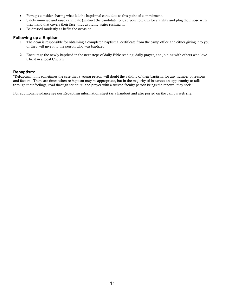- Perhaps consider sharing what led the baptismal candidate to this point of commitment.
- Safely immerse and raise candidate (instruct the candidate to grab your forearm for stability and plug their nose with their hand that covers their face, thus avoiding water rushing in.
- Be dressed modestly as befits the occasion.

#### **Following up a Baptism**

- 1. The dean is responsible for obtaining a completed baptismal certificate from the camp office and either giving it to you or they will give it to the person who was baptized.
- 2. Encourage the newly baptized in the next steps of daily Bible reading, daily prayer, and joining with others who love Christ in a local Church.

#### **Rebaptism:**

"Rebaptism...it is sometimes the case that a young person will doubt the validity of their baptism, for any number of reasons and factors. There are times when re-baptism may be appropriate, but in the majority of instances an opportunity to talk through their feelings, read through scripture, and prayer with a trusted faculty person brings the renewal they seek."

For additional guidance see our Rebaptism information sheet (as a handout and also posted on the camp's web site.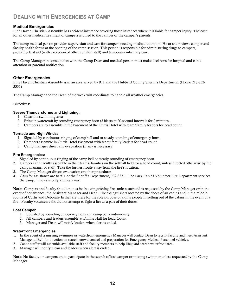# **DEALING WITH EMERGENCIES AT CAMP**

#### **Medical Emergencies**

Pine Haven Christian Assembly has accident insurance covering those instances where it is liable for camper injury. The cost for all other medical treatment of campers is billed to the camper or the camper's parents.

The camp medical person provides supervision and care for campers needing medical attention. He or she reviews camper and faculty health forms at the opening of the camp session. This person is responsible for administering drugs to campers, providing first aid (with exception of other certified staff) and temporary infirmary care.

The Camp Manager in consultation with the Camp Dean and medical person must make decisions for hospital and clinic attention or parental notification.

#### **Other Emergencies**

Pine Haven Christian Assembly is in an area served by 911 and the Hubbard County Sheriff's Department. (Phone 218-732- 3331)

The Camp Manager and the Dean of the week will coordinate to handle all weather emergencies.

#### Directives:

#### **Severe Thunderstorms and Lightning:**

- 1. Clear the swimming area
- 2. Bring in watercraft by sounding emergency horn (3 blasts at 20-second intervals for 2 minutes.
- 3. Campers are to assemble in the basement of the Curtis Hotel with team/family leaders for head count.

#### **Tornado and High Winds:**

- 1. Signaled by continuous ringing of camp bell and or steady sounding of emergency horn.
- 2. Campers assemble in Curtis Hotel Basement with team/family leaders for head count.
- 3. Camp manager direct any evacuation (if any is necessary)

#### **Fire Emergencies:**

- 1. Signaled by continuous ringing of the camp bell or steady sounding of emergency horn.
- 2. Campers and faculty assemble in their teams/families on the softball field for a head count, unless directed otherwise by the camp manager or staff. Take the furthest route away from the fire's location.
- 3. The Camp Manager directs evacuation or other procedures.
- 4. Calls for assistance are to 911 or the Sheriff's Department, 732-3331. The Park Rapids Volunteer Fire Department services the camp. They are only 7 miles away.

Note: Campers and faculty should not assist in extinguishing fires unless such aid is requested by the Camp Manager or in the event of her absence, the Assistant Manager and Dean. Fire extinguishers located by the doors of all cabins and in the middle rooms of Curtis and Deborah/Esther are there for the sole purpose of aiding people in getting out of the cabins in the event of a fire. Faculty volunteers should not attempt to fight a fire as a part of their duties.

#### **Lost Camper**

- 1. Signaled by sounding emergency horn and camp bell continuously.
- 2. All campers and leaders assemble at Dining Hall for head Count.
- 3. Manager and Dean will notify leaders when alert is ended.

#### **Waterfront Emergencies**

- 1. In the event of a missing swimmer or waterfront emergency Manager will contact Dean to recruit faculty and meet Assistant Manager at Bell for direction on search, crowd control and preparation for Emergency Medical Personnel vehicles.
- 2. Canoe staffer will assemble available staff and faculty members to help lifeguard search waterfront area.
- 3. Manager will notify Dean and leaders when alert is ended.

Note: No faculty or campers are to participate in the search of lost camper or missing swimmer unless requested by the Camp Manager.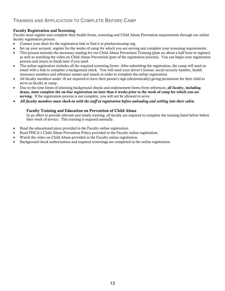## **TRAINING AND APPLICATION TO COMPLETE BEFORE CAMP**

#### Faculty Registration and Screening

Faculty must register and complete their health forms, screening and Child Abuse Prevention requirements through our online faculty registration process.

- Contact your dean for the registration link or find it at pinehavencamp.org.
- Set up your account, register for the weeks of camp for which you are serving and complete your screening requirements.
- This process includes the necessary reading for our Child Abuse Prevention Training (plan on about a half hour to register) as well as watching the video on Child Abuse Prevention (part of the registration process). You can begin your registration process and return to finish later if you need.
- The online registration includes all the required screening forms. After submitting the registration, the camp will send an email with a link to complete a background check. You will need your driver's license, social security number, health insurance numbers and reference names and emails in order to complete the online registration.
- All faculty members under 18 are required to have their parent's sign (electronically) giving permission for their child to serve as faculty at camp.
- Due to the time limits of attaining background checks and endorsement forms from references, all faculty, including deans, must complete the on-line registration no later than 4 weeks prior to the week of camp for which you are serving. If the registration process is not complete, you will not be allowed to serve.
- *All faculty members must check-in with the staff at registration before unloading and settling into their cabin.*

#### Faculty Training and Education on Prevention of Child Abuse

In an effort to provide relevant and timely training, all faculty are required to complete the training listed below before their week of service. This training is required annually.

- Read the educational piece provided in the Faculty online registration.
- Read PHCA's Child Abuse Prevention Policy provided in the Faculty online registration.
- Watch the video on Child Abuse provided in the Faculty online registration.
- Background check authorization and required screenings are completed in the online registration.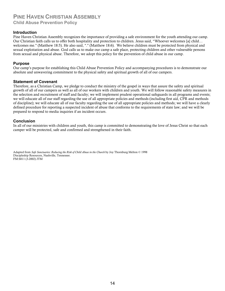## **PINE HAVEN CHRISTIAN ASSEMBLY Child Abuse Prevention Policy**

#### **Introduction**

Pine Haven Christian Assembly recognizes the importance of providing a safe environment for the youth attending our camp. Our Christian faith calls us to offer both hospitality and protection to children. Jesus said, "Whoever welcomes [a] child… welcomes me." (Matthew 18:5). He also said, "." (Matthew 18:6). We believe children must be protected from physical and sexual exploitation and abuse. God calls us to make our camp a safe place, protecting children and other vulnerable persons from sexual and physical abuse. Therefore, we adopt this policy for the prevention of child abuse in our camp.

#### **Purpose**

Our camp's purpose for establishing this Child Abuse Prevention Policy and accompanying procedures is to demonstrate our absolute and unwavering commitment to the physical safety and spiritual growth of all of our campers.

#### **Statement of Covenant**

Therefore, as a Christian Camp, we pledge to conduct the ministry of the gospel in ways that assure the safety and spiritual growth of all of our campers as well as all of our workers with children and youth. We will follow reasonable safety measures in the selection and recruitment of staff and faculty; we will implement prudent operational safeguards in all programs and events; we will educate all of our staff regarding the use of all appropriate policies and methods (including first aid, CPR and methods of discipline); we will educate all of our faculty regarding the use of all appropriate policies and methods; we will have a clearly defined procedure for reporting a suspected incident of abuse that conforms to the requirements of state law; and we will be prepared to respond to media inquiries if an incident occurs.

#### **Conclusion**

In all of our ministries with children and youth, this camp is committed to demonstrating the love of Jesus Christ so that each camper will be protected, safe and confirmed and strengthened in their faith.

Adapted from *Safe Sanctuaries: Reducing the Risk of Child Abuse in the Church* by Joy Thornburg Melton © 1998 Discipleship Resources, Nashville, Tennessee. FM:S811 (3-2002) JTM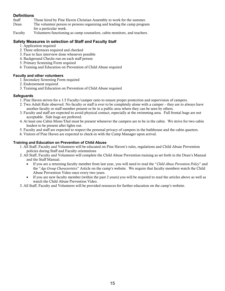# **Definitions**<br>Staff

- Those hired by Pine Haven Christian Assembly to work for the summer.
- Dean The volunteer person or persons organizing and leading the camp program for a particular week.
- Faculty Volunteers functioning as camp counselors, cabin monitors, and teachers.

#### **Safety Measures in selection of Staff and Faculty Staff**

- 1. Application required
- 2. Three references required and checked
- 3. Face to face interview done whenever possible
- 4. Background Checks run on each staff person
- 5. Primary Screening Form required
- 6. Training and Education on Prevention of Child Abuse required

#### **Faculty and other volunteers**

- 1. Secondary Screening Form required
- 2. Endorsement required
- 3. Training and Education on Prevention of Child Abuse required

#### **Safeguards**

- 1. Pine Haven strives for a 1:5 Faculty/camper ratio to ensure proper protection and supervision of campers.
- 2. Two Adult Rule observed. No faculty or staff is ever to be completely alone with a camper they are to always have another faculty or staff member present or be in a public area where they can be seen by others.
- 3. Faculty and staff are expected to avoid physical contact, especially at the swimming area. Full frontal hugs are not acceptable. Side hugs are preferred.
- 4. At least one Cabin Mom/Dad must be present whenever the campers are to be in the cabin. We strive for two cabin leaders to be present after lights out.
- 5. Faculty and staff are expected to respect the personal privacy of campers in the bathhouse and the cabin quarters.
- 6. Visitors of Pine Haven are expected to check-in with the Camp Manager upon arrival.

#### **Training and Education on Prevention of Child Abuse**

- 1. All Staff, Faculty and Volunteers will be educated on Pine Haven's rules, regulations and Child Abuse Prevention policies during Staff and Faculty orientations
- 2. All Staff, Faculty and Volunteers will complete the Child Abuse Prevention training as set forth in the Dean's Manual and the Staff Manual.
	- If you are a returning faculty member from last year, you will need to read the "*Child Abuse Prevention Policy*" and the "*Age Group Characteristics*" Article on the camp's website. We require that faculty members watch the Child Abuse Prevention Video once every two years.
	- If you are new faculty member (within the past 2 years) you will be required to read the articles above as well as watch the Child Abuse Prevention Video.
- 3. All Staff, Faculty and Volunteers will be provided resources for further education on the camp's website.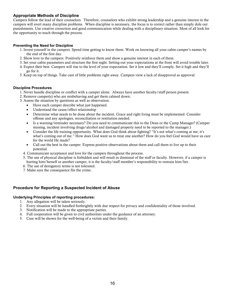#### **Appropriate Methods of Discipline**

Campers follow the lead of their counselors. Therefore, counselors who exhibit strong leadership and a genuine interest in the campers will avert many discipline problems. When discipline is necessary, the focus is to correct rather than simply dole out punishments. Use creative correction and good communication while dealing with a disciplinary situation. Most of all look for the opportunity to teach through the process.

#### **Preventing the Need for Discipline**

- 1. Invest yourself in the campers. Spend time getting to know them. Work on knowing all your cabin camper's names by the end of the first day.
- 2. Show love to the campers. Positively reinforce them and show a genuine interest in each of them.
- 3. Set your cabin parameters and structure the first night. Setting out your expectations at the front will avoid trouble later.
- 4. Expect their best. Campers will rise to the level of your expectation. Set it low and they'll comply. Set it high and they'll go for it.
- 5. Keep on top of things. Take care of little problems right away. Campers view a lack of disapproval as approval.

#### **Discipline Procedures**

- 1. Never handle discipline or conflict with a camper alone. Always have another faculty/staff person present.
- 2. Remove camper(s) who are misbehaving and get them calmed down.
- 3. Assess the situation by questions as well as observation.
	- Have each camper describe what just happened.
	- Understand the cause/effect relationship
	- Determine what needs to be done about the incident. Grace and right living must be implemented. Consider offense and any apologies, reconciliation or restitution needed.
	- Is a warning/reminder necessary? Do you need to communicate this to the Dean or the Camp Manager? (Camper missing, incident involving drugs/alcohol and damaged property need to be reported to the manager.)
	- Consider the life training opportunity. What does God think about fighting? "It's not what's coming at me; it's what's coming out of me." How does God want us to treat one another? How do you feel God would have us care for the world He made?
	- Call out the best in the camper. Express positive observations about them and call them to live up to their potential.
	- 4. Communicate acceptance and love for the campers throughout the process.
	- 5. The use of physical discipline is forbidden and will result in dismissal of the staff or faculty. However, if a camper is hurting him/herself or another camper, it is the faculty/staff member's responsibility to restrain him/her.
	- 6. The use of derogatory terms is not tolerated.
	- 7. Make sure the consequence fits the crime.

#### **Procedure for Reporting a Suspected Incident of Abuse**

#### **Underlying Principles of reporting procedures:**

- 1. Any allegation will be taken seriously.
- 2. Every situation will be handled forthrightly with due respect for privacy and confidentiality of those involved.
- 3. Notification will be made to the appropriate parties.
- 4. Full cooperation will be given to civil authorities under the guidance of an attorney.
- 5. Care will be shown for the well-being of a victim and their family.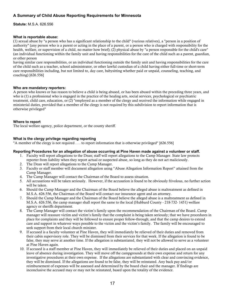#### **A Summary of Child Abuse Reporting Requirements for Minnesota**

**Statute:** M.S.A. 626.556

#### **What is reportable abuse:**

(1) sexual abuse by "a person who has a significant relationship to the child" (various relatives), a "person in a position of authority" (any person who is a parent or acting in the place of a parent, or a person who is charged with responsibility for the health, welfare, or supervision of a child, no matter how brief); (2) physical abuse by "a person responsible for the child's care" (an individual functioning within the family unit and having responsibilities for the care of the child such as a parent, guardian, or other person

having similar care responsibilities, or an individual functioning outside the family unit and having responsibilities for the care of the child such as a teacher, school administrator, or other lawful custodian of a child having either full-time or short-term care responsibilities including, but not limited to, day care, babysitting whether paid or unpaid, counseling, teaching, and coaching) [626.556]

#### **Who are mandatory reporters:**

A person who knows or has reason to believe a child is being abused, or has been abused within the preceding three years, and who is (1) a professional who is engaged in the practice of the healing arts, social services, psychological or psychiatric treatment, child care, education, or (2) "employed as a member of the clergy and received the information while engaged in ministerial duties, provided that a member of the clergy is not required by this subdivision to report information that is otherwise privileged"

#### **Where to report**

The local welfare agency, police department, or the county sheriff.

#### **What is the clergy privilege regarding reporting**

"A member of the clergy is not required . . . to report information that is otherwise privileged" [626.556]

#### **Reporting Procedures for an allegation of abuse occurring at Pine Haven made against a volunteer or staff.**

- 1. Faculty will report allegations to the Dean; staff will report allegations to the Camp Manager. State law protects reporter from liability when they report actual or suspected abuse, so long as they do not act maliciously.
- 2. The Dean will report allegations to the Camp Manager.
- 3. Faculty or staff member will document allegation using "Abuse Allegation Information Report" attained from the Camp Manager.
- 4. The Camp Manager will contact the Chairman of the Board to assess situation.
- 5. All accusations will be taken seriously. However, if the accusation is found to be obviously frivolous, no further action will be taken.
- 6. Should the Camp Manager and the Chairman of the Board believe the alleged abuse is maltreatment as defined in M.S.A. 626.556, the Chairman of the Board will contact our insurance agent and an attorney.
- 7. Should the Camp Manager and the Chairman of the Board believe the alleged abuse is a maltreatment as defined in M.S.A. 626.556, the camp manager shall report the same to the local (Hubbard County - 218-732- 1451) welfare agency or sheriffs department.
- 8. The Camp Manager will contact the victim's family upon the recommendation of the Chairman of the Board. Camp manager will reassure victim and victim's family that the complaint is being taken seriously; that we have procedures in place for complaints and they will be followed to ensure proper follow-through; and that the camp desires to extend care and support in whatever ways possible to the victim and the victim's family. The family will be encouraged to seek support from their local church minister.
- 9. If accused is a faculty volunteer at Pine Haven, they will immediately be relieved of their duties and removed from their cabin supervisory role. They will be dismissed from their services for that week. If the allegation is found to be false, they may serve at another time. If the allegation is substantiated, they will not be allowed to serve as a volunteer at Pine Haven again.
- 10. If accused is a staff member at Pine Haven, they will immediately be relieved of their duties and placed on an unpaid leave of absence during investigation. They will move off the campgrounds at their own expense and return for any investigative procedures at their own expense. If the allegations are substantiated with clear and convincing evidence, they will be dismissed. If the allegations are found to be false, they will be reinstated. Any back pay and/or reimbursement of expenses will be assessed and determined by the board chair and the manager. If findings are inconclusive the accused may or may not be reinstated, based upon the totality of the evidence.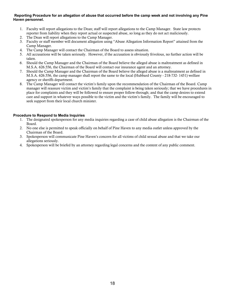#### **Reporting Procedure for an allegation of abuse that occurred before the camp week and not involving any Pine Haven personnel.**

- 1. Faculty will report allegations to the Dean; staff will report allegations to the Camp Manager. State law protects reporter from liability when they report actual or suspected abuse, so long as they do not act maliciously.
- 2. The Dean will report allegations to the Camp Manager.
- 3. Faculty or staff member will document allegation using "Abuse Allegation Information Report" attained from the Camp Manager.
- 4. The Camp Manager will contact the Chairman of the Board to assess situation.
- 5. All accusations will be taken seriously. However, if the accusation is obviously frivolous, no further action will be taken.
- 6. Should the Camp Manager and the Chairman of the Board believe the alleged abuse is maltreatment as defined in M.S.A. 626.556, the Chairman of the Board will contact our insurance agent and an attorney.
- 7. Should the Camp Manager and the Chairman of the Board believe the alleged abuse is a maltreatment as defined in M.S.A. 626.556, the camp manager shall report the same to the local (Hubbard County - 218-732- 1451) welfare agency or sheriffs department.
- 8. The Camp Manager will contact the victim's family upon the recommendation of the Chairman of the Board. Camp manager will reassure victim and victim's family that the complaint is being taken seriously; that we have procedures in place for complaints and they will be followed to ensure proper follow-through; and that the camp desires to extend care and support in whatever ways possible to the victim and the victim's family. The family will be encouraged to seek support from their local church minister.

#### **Procedure to Respond to Media Inquiries**

- 1. The designated spokesperson for any media inquiries regarding a case of child abuse allegation is the Chairman of the Board.
- 2. No one else is permitted to speak officially on behalf of Pine Haven to any media outlet unless approved by the Chairman of the Board.
- 3. Spokesperson will communicate Pine Haven's concern for all victims of child sexual abuse and that we take our allegations seriously.
- 4. Spokesperson will be briefed by an attorney regarding legal concerns and the content of any public comment.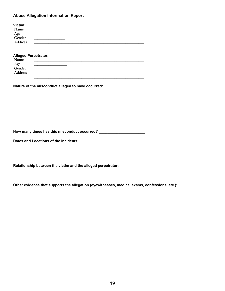#### **Abuse Allegation Information Report**

| Victim:       |  |
|---------------|--|
| Name          |  |
| Age<br>Gender |  |
|               |  |
| Address       |  |
|               |  |

#### **Alleged Perpetrator:**

| Name          |  |
|---------------|--|
|               |  |
| Age<br>Gender |  |
| Address       |  |
|               |  |

**Nature of the misconduct alleged to have occurred:** 

How many times has this misconduct occurred? \_\_\_\_\_\_\_\_\_\_\_\_\_\_\_\_\_\_\_\_\_\_\_\_\_\_\_\_\_\_\_\_\_\_\_

**Dates and Locations of the incidents:**

**Relationship between the victim and the alleged perpetrator:**

**Other evidence that supports the allegation (eyewitnesses, medical exams, confessions, etc.):**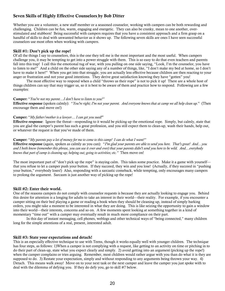#### Seven Skills of Highly Effective Counselors by Bob Ditter

Whether you are a volunteer, a new staff member or a seasoned counselor, working with campers can be both rewarding and challenging. Children can be fun, warm, engaging and energetic. They can also be cranky, mean to one another, overstimulated and stubborn! Being successful with campers requires that you have a consistent approach and a firm grasp on a handful of skills to deal with unwanted behavior as it shows up. The following seven skills are ones I have seen successful counselors use most often when working with campers.

#### Skill #1: Don't pick up the rope!

Of all the things I say to counselors, this is the one they tell me is the most important and the most useful. When campers challenge you, it may be tempting to get into a power struggle with them. This is so easy to do that even teachers and parents fall into this trap! I call this the emotional tug of war, with you pulling on one side saying, "Look, I'm the counselor, you have to listen to me!" And a child on the other side saying any of a number of things, like, "I don't make my bed at home, so I don't have to make it here!" When you get into that struggle, you are actually less effective because children are then reacting to your anger or frustration and not your good intentions. They derive great satisfaction knowing they have "gotten" you!

The most effective way to respond when a child "throws us their rope" is not to pick it up! There are a whole host of things children can say that may trigger us, so it is best to be aware of them and practice how to respond. Following are a few examples:

#### Camper: "*You're not my parent…I don't have to listen to you!"*

Effective response (spoken calmly): "*You're right; I'm not your parent. And everyone knows that at camp we all help clean up.*" (Then encourage them and move on!)

#### Camper: "*My father/mother is a lawyer… I can get you sued!*"

Effective response: Ignore the threat—responding to it would be picking up the emotional rope. Simply, but calmly, state that you are glad the camper's parent has such a great profession, and you still expect them to clean-up, wash their hands, help out, or whatever the request is that you've made of them.

#### Camper: "*My parents pay a lot of money for me to come to this camp! I can do what I want!"*

Effective response (again, spoken as calmly as you can): "*I'm glad your parents are able to send you here. That's great! And…you and I both know (remember this phrase, you can use it over and over) that your parents didn't send you here to be wild. And…everybody knows that part of camp is cleaning up; helping out; going to activities; etc."* Then move on!

The most important part of "don't pick up the rope" is staying calm. This takes some practice. Make it a game with yourself that you refuse to let a camper push your button. If they succeed, they win and you lose! (Actually, if they succeed in "pushing your button," everybody loses!) Also, responding with a sarcastic comeback, while tempting, only encourages many campers to prolong the argument. Sarcasm is just another way of picking up the rope!

#### Skill #2: Enter their world.

One of the reasons campers do not comply with counselor requests is because they are actually looking to engage you. Behind this desire for attention is a longing for adults to take an interest in their world—their reality. For example, if you encounter a camper sitting on their bed playing a game or reading a book when they should be cleaning up, instead of simply barking orders, you might take a moment to be interested in what they are doing. This is like seizing the opportunity to gain a window into their world—their interests, concerns and so on. A few moments spent looking at something together in a kind of momentary "time out" with a camper may eventually result in much more compliance on their part.

In this day of instant messaging, cell phones, weblogs and other technical ways of "being connected," many children long for the simple attentions of a real, present, interested adult.

#### Skill #3: State your expectations and detach!

This is an especially effective technique to use with Teens, though it works equally well with younger children. The technique has four steps, as follows: 1)When a camper is not complying with a request, like getting to an activity on time or pitching in to do their part of clean-up, state what you expect clearly and simply. 2) avoid getting into an argument (picking up the rope!) when the camper complains or tries arguing. Remember, most children would rather argue with you than do what it is they are supposed to do. 3) Restate your expectation, simply and without responding to any arguments being thrown your way. 4) Detach. This means walk away! Move on to your next task or the next camper and leave the camper you just spoke with to deal with the dilemma of defying you. If they do defy you, go to skill #7 below.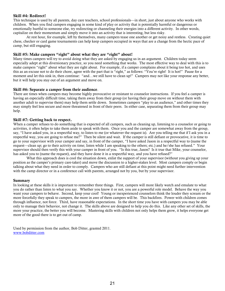#### Skill #4: Redirect!

This technique is used by all parents, day care teachers, school professionals—in short, just about anyone who works with children. When you find campers engaging in some kind of play or activity that is potentially harmful or dangerous or emotionally hurtful to someone else, try redirecting or channeling their energies into a different activity. In other words, capitalize on their momentum and simply move it into an activity that is interesting, but less risky.

At rest hour, for example, left by themselves, many campers tease one another or get noisy and restless. Creating quiet chess, checker or card game tournaments can help keep campers occupied in ways that are a change from the hectic pace of camp, but still engaging.

#### Skill #5: Make campers "right" about what they are "right" about!

Many times campers will try to avoid doing what they are asked by engaging us in an argument. Children today seem especially adept at this diversionary practice, so you need something that works. The most effective way to deal with this is to make campers "right" about what they are right about. For example, if a camper complains about it being too hot, and uses this as an excuse not to do their chore, agree with the part that is "right," as follows: "You're right! It is hot!" Pause for a moment and let this sink in, then continue: "and…we still have to clean up!" Campers may not like your response any better, but it will help you stay out of an argument and move on.

#### Skill #6: Separate a camper from their audience.

There are times when campers may become highly provocative or resistant to counselor instructions. If you feel a camper is having an especially difficult time, taking them away from their group (or having their group move on without them with another adult to supervise them) may help them settle down. Sometimes campers "play to an audience," and other times they may simply feel less secure and more threatened in front of their peers. In either case, separating them from their group may help.

#### Skill #7: Getting back to respect.

When a camper refuses to do something that is expected of all campers, such as cleaning up, listening to a counselor or going to activities, it often helps to take them aside to speak with them. Once you and the camper are somewhat away from the group, say, "I have asked you, in a respectful way, to listen to me (or whatever the request is). Are you telling me that if I ask you in a respectful way, you are going to refuse me?" Then be silent and wait. If the camper is still defiant or provocative, it is time to go to your supervisor with your camper and say, in front of the camper, "I have asked Jason in a respectful way to (name the request—clean up; go to their activity on time; listen while I am speaking to the others; etc.) and he/she has refused." Your supervisor should then verify this with your camper in front of you. "Is this true, Jason? Is it true that Mike, your counselor, has asked you to (name the request), and they have done it in a respectful way, and you have refused?"

What this approach does is cool the situation down, enlist the support of your supervisor (without you giving up your position as the camper's primary care-taker) and move the discussion to a higher-stakes level. Most campers comply or begin talking about what they need in order to comply. Campers who are still defiant at this point might need further intervention with the camp director or in a conference call with parents, arranged not by you, but by your supervisor.

#### Summary

In looking at these skills it is important to remember three things. First, campers will more likely watch and emulate to what you do rather than listen to what you say. Whether you know it or not, you are a powerful role model. Behave the way you want your campers to behave. Second, keep your cool! Young or inexperienced counselors think the louder they scream or the more forcefully they speak to campers, the more in awe of them campers will be. This backfires. Power with children comes through influence, not force. Third, have reasonable expectations. In the short time you have with campers you may be able only to manage their behavior, not change it. The skills above are designed to help you do this. Like any other set of skills, the more your practice, the better you will become. Mastering skills with children not only helps them grow, it helps everyone get more of the good there is to get out of camp.

Used by permission from the author, Bob Ditter, granted 2011. [www.bobditter.com](http://www.bobditter.com/)